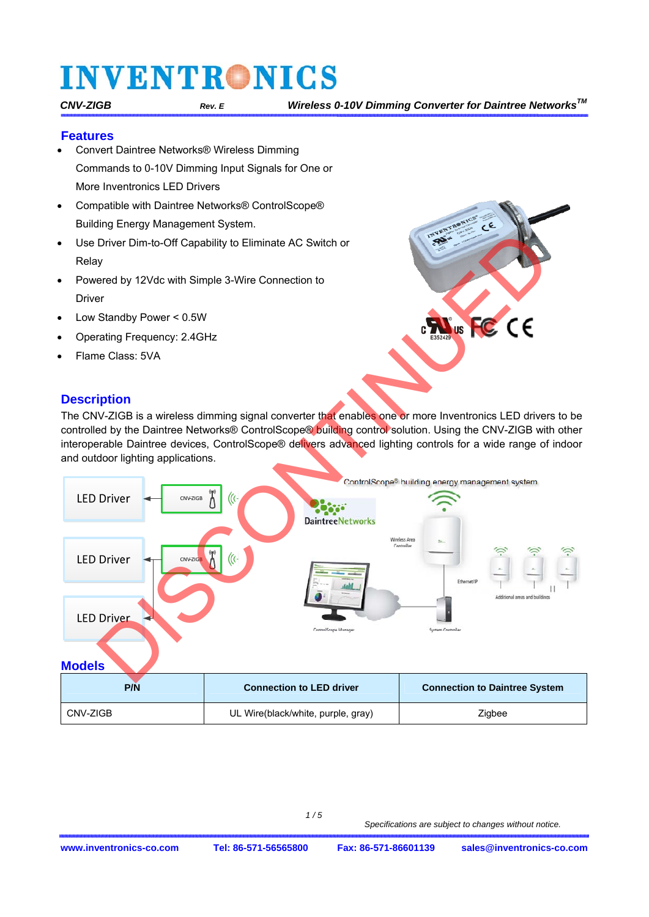#### **Features**

- Convert Daintree Networks® Wireless Dimming Commands to 0-10V Dimming Input Signals for One or More Inventronics LED Drivers
- Compatible with Daintree Networks® ControlScope® Building Energy Management System.
- Use Driver Dim-to-Off Capability to Eliminate AC Switch or Relay
- Powered by 12Vdc with Simple 3-Wire Connection to Driver
- Low Standby Power < 0.5W
- Operating Frequency: 2.4GHz
- Flame Class: 5VA



### **Description**

The CNV-ZIGB is a wireless dimming signal converter that enables one or more Inventronics LED drivers to be controlled by the Daintree Networks® ControlScope® building control solution. Using the CNV-ZIGB with other interoperable Daintree devices, ControlScope® delivers advanced lighting controls for a wide range of indoor and outdoor lighting applications.

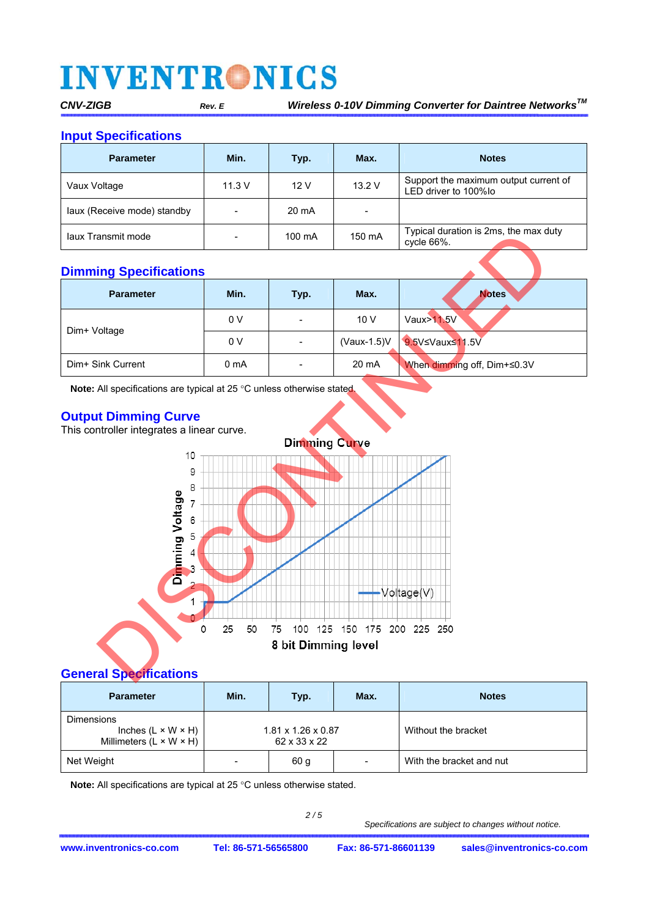*Wireless 0-10V Dimming Converter for Daintree NetworksTM CNV-ZIGB Rev. E*

#### **Input Specifications**

| <b>Parameter</b>            | Min.   | Typ.             | Max.<br><b>Notes</b> |                                                                |
|-----------------------------|--------|------------------|----------------------|----------------------------------------------------------------|
| Vaux Voltage                | 11.3 V | 13.2V<br>12V     |                      | Support the maximum output current of<br>LED driver to 100% lo |
| laux (Receive mode) standby |        | 20 mA            |                      |                                                                |
| laux Transmit mode          |        | $100 \text{ mA}$ | 150 mA               | Typical duration is 2ms, the max duty<br>cycle $66\%$ .        |

## **Dimming Specifications**

| <b>Parameter</b>  | Min.             | Typ. | Max.               | <b>Notes</b>                |
|-------------------|------------------|------|--------------------|-----------------------------|
|                   | 0 <sub>V</sub>   | -    | 10V                | Vaux>11.5V                  |
| Dim+ Voltage      | 0 <sub>V</sub>   |      | $($ Vaux-1.5 $)$ V | 9.5V≤Vaux≤11.5V             |
| Dim+ Sink Current | 0 <sub>m</sub> A |      | 20 mA              | When dimming off, Dim+≤0.3V |

**Note:** All specifications are typical at 25 °C unless otherwise stated.

### **Output Dimming Curve**

This controller integrates a linear curve.



### **General Specifications**

| <b>Parameter</b>                                                                           | Min.                                           | Max.<br>Typ. |  | <b>Notes</b>             |
|--------------------------------------------------------------------------------------------|------------------------------------------------|--------------|--|--------------------------|
| <b>Dimensions</b><br>Inches $(L \times W \times H)$<br>Millimeters $(L \times W \times H)$ | $1.81 \times 1.26 \times 0.87$<br>62 x 33 x 22 |              |  | Without the bracket      |
| Net Weight                                                                                 | 60 g                                           |              |  | With the bracket and nut |

**Note:** All specifications are typical at 25 °C unless otherwise stated.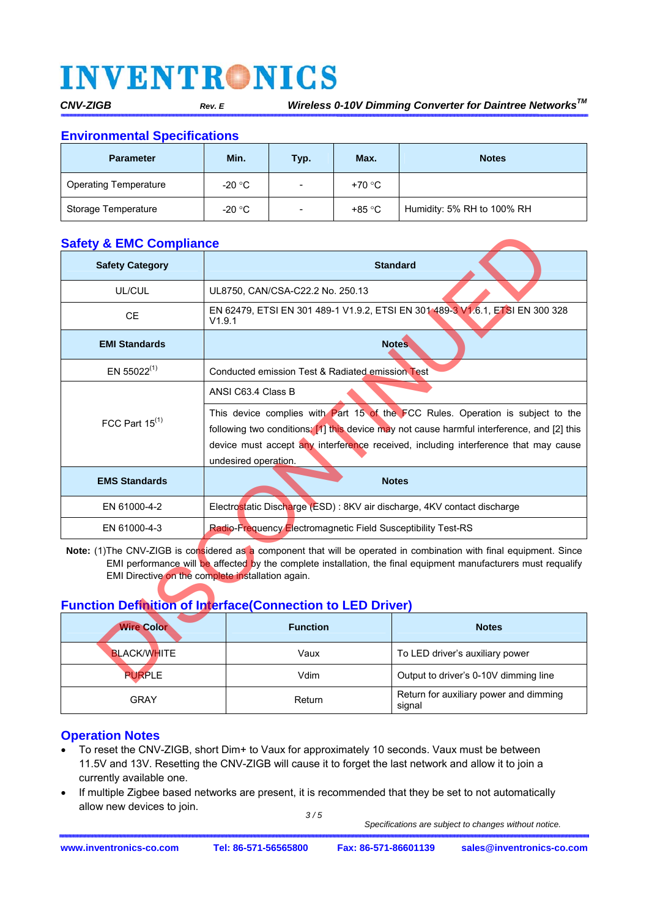**Environmental Specifications** 

| <b>Parameter</b>             | Min.   | Typ.                     | Max.   | <b>Notes</b>               |  |
|------------------------------|--------|--------------------------|--------|----------------------------|--|
| <b>Operating Temperature</b> | -20 °C | $\overline{\phantom{a}}$ | +70 °C |                            |  |
| Storage Temperature          | -20 °C | $\overline{\phantom{a}}$ | +85 °C | Humidity: 5% RH to 100% RH |  |

## **Safety & EMC Compliance**

| <b>Safety &amp; EMC Compliance</b>                                                                                                                                                                                                                                                                                                                                |                                                                                                                                                                                                                                                                                              |              |  |  |
|-------------------------------------------------------------------------------------------------------------------------------------------------------------------------------------------------------------------------------------------------------------------------------------------------------------------------------------------------------------------|----------------------------------------------------------------------------------------------------------------------------------------------------------------------------------------------------------------------------------------------------------------------------------------------|--------------|--|--|
| <b>Safety Category</b>                                                                                                                                                                                                                                                                                                                                            | <b>Standard</b>                                                                                                                                                                                                                                                                              |              |  |  |
| UL/CUL                                                                                                                                                                                                                                                                                                                                                            | UL8750, CAN/CSA-C22.2 No. 250.13                                                                                                                                                                                                                                                             |              |  |  |
| <b>CE</b>                                                                                                                                                                                                                                                                                                                                                         | EN 62479, ETSI EN 301 489-1 V1.9.2, ETSI EN 301 489-3 V1.6.1, ETSI EN 300 328<br>V1.9.1                                                                                                                                                                                                      |              |  |  |
| <b>EMI Standards</b>                                                                                                                                                                                                                                                                                                                                              | Notes.                                                                                                                                                                                                                                                                                       |              |  |  |
| EN 55022 <sup>(1)</sup>                                                                                                                                                                                                                                                                                                                                           | Conducted emission Test & Radiated emission Test                                                                                                                                                                                                                                             |              |  |  |
|                                                                                                                                                                                                                                                                                                                                                                   | ANSI C63.4 Class B                                                                                                                                                                                                                                                                           |              |  |  |
| FCC Part $15^{(1)}$                                                                                                                                                                                                                                                                                                                                               | This device complies with Part 15 of the FCC Rules. Operation is subject to the<br>following two conditions: [1] this device may not cause harmful interference, and [2] this<br>device must accept any interference received, including interference that may cause<br>undesired operation. |              |  |  |
| <b>EMS Standards</b>                                                                                                                                                                                                                                                                                                                                              | <b>Notes</b>                                                                                                                                                                                                                                                                                 |              |  |  |
| EN 61000-4-2                                                                                                                                                                                                                                                                                                                                                      | Electrostatic Discharge (ESD) : 8KV air discharge, 4KV contact discharge                                                                                                                                                                                                                     |              |  |  |
| EN 61000-4-3                                                                                                                                                                                                                                                                                                                                                      | Radio-Frequency Electromagnetic Field Susceptibility Test-RS                                                                                                                                                                                                                                 |              |  |  |
| Note: (1)The CNV-ZIGB is considered as a component that will be operated in combination with final equipment. Since<br>EMI performance will be affected by the complete installation, the final equipment manufacturers must requalify<br>EMI Directive on the complete installation again.<br><b>Function Definition of Interface (Connection to LED Driver)</b> |                                                                                                                                                                                                                                                                                              |              |  |  |
| <b>Wire Color</b>                                                                                                                                                                                                                                                                                                                                                 | <b>Function</b>                                                                                                                                                                                                                                                                              | <b>Notes</b> |  |  |
| <b>BLACK/WHITE</b>                                                                                                                                                                                                                                                                                                                                                | Vaux<br>To LED driver's auxiliary power                                                                                                                                                                                                                                                      |              |  |  |
| <b>PURPLE</b>                                                                                                                                                                                                                                                                                                                                                     | Vdim<br>Output to driver's 0-10V dimming line                                                                                                                                                                                                                                                |              |  |  |

# **Function Definition of Interface(Connection to LED Driver)**

| <b>Wire Color</b>  | <b>Function</b>                               | <b>Notes</b>                                     |  |
|--------------------|-----------------------------------------------|--------------------------------------------------|--|
| <b>BLACK/WHITE</b> | Vaux                                          | To LED driver's auxiliary power                  |  |
| <b>PURPLE</b>      | Output to driver's 0-10V dimming line<br>Vdim |                                                  |  |
| GRAY               | Return                                        | Return for auxiliary power and dimming<br>signal |  |

## **Operation Notes**

- To reset the CNV-ZIGB, short Dim+ to Vaux for approximately 10 seconds. Vaux must be between 11.5V and 13V. Resetting the CNV-ZIGB will cause it to forget the last network and allow it to join a currently available one.
- If multiple Zigbee based networks are present, it is recommended that they be set to not automatically allow new devices to join.

 *3 / 5*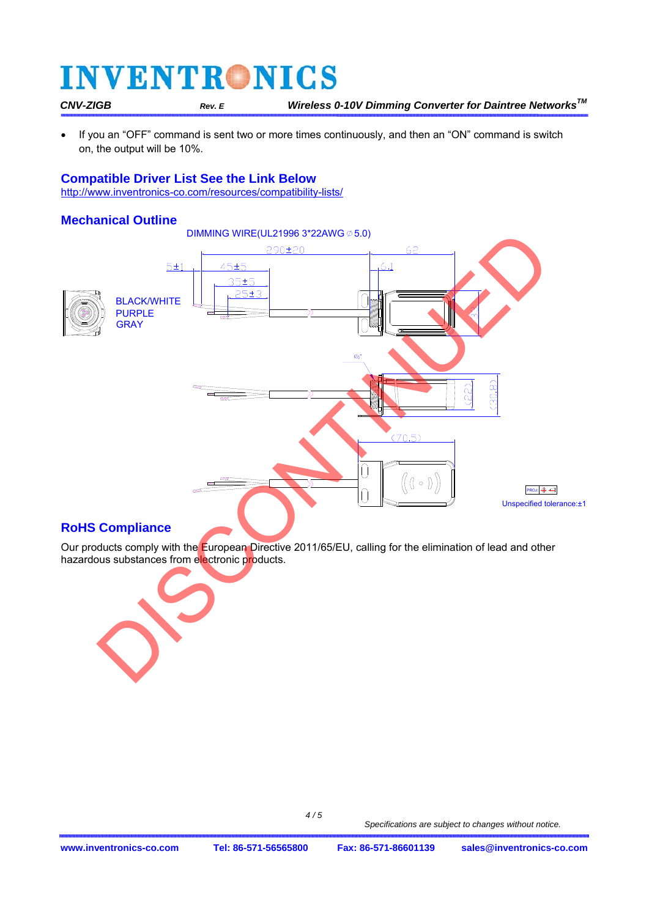If you an "OFF" command is sent two or more times continuously, and then an "ON" command is switch on, the output will be 10%.

#### **Compatible Driver List See the Link Below**

http://www.inventronics-co.com/resources/compatibility-lists/

### **Mechanical Outline**



### **RoHS Compliance**

Our products comply with the European Directive 2011/65/EU, calling for the elimination of lead and other hazardous substances from electronic products.